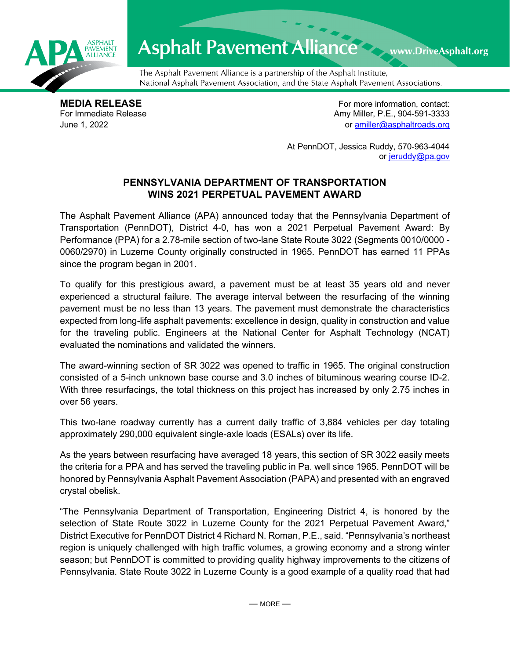

## Asphalt Pavement Alliance Mark DriveAsphalt.org

The Asphalt Pavement Alliance is a partnership of the Asphalt Institute, National Asphalt Pavement Association, and the State Asphalt Pavement Associations.

**MEDIA RELEASE**<br>
For Immediate Release **For more information, contact:**<br>
For Immediate Release **For the Structure of Amy Miller, P.E., 904-591-3333** Amy Miller, P.E., 904-591-3333 June 1, 2022 or [amiller@asphaltroads.org](mailto:amiller@asphaltroads.org)

> At PennDOT, Jessica Ruddy, 570-963-4044 or [jeruddy@pa.gov](mailto:jeruddy@pa.gov)

## **PENNSYLVANIA DEPARTMENT OF TRANSPORTATION WINS 2021 PERPETUAL PAVEMENT AWARD**

The Asphalt Pavement Alliance (APA) announced today that the Pennsylvania Department of Transportation (PennDOT), District 4-0, has won a 2021 Perpetual Pavement Award: By Performance (PPA) for a 2.78-mile section of two-lane State Route 3022 (Segments 0010/0000 - 0060/2970) in Luzerne County originally constructed in 1965. PennDOT has earned 11 PPAs since the program began in 2001.

To qualify for this prestigious award, a pavement must be at least 35 years old and never experienced a structural failure. The average interval between the resurfacing of the winning pavement must be no less than 13 years. The pavement must demonstrate the characteristics expected from long-life asphalt pavements: excellence in design, quality in construction and value for the traveling public. Engineers at the National Center for Asphalt Technology (NCAT) evaluated the nominations and validated the winners.

The award-winning section of SR 3022 was opened to traffic in 1965. The original construction consisted of a 5-inch unknown base course and 3.0 inches of bituminous wearing course ID-2. With three resurfacings, the total thickness on this project has increased by only 2.75 inches in over 56 years.

This two-lane roadway currently has a current daily traffic of 3,884 vehicles per day totaling approximately 290,000 equivalent single-axle loads (ESALs) over its life.

As the years between resurfacing have averaged 18 years, this section of SR 3022 easily meets the criteria for a PPA and has served the traveling public in Pa. well since 1965. PennDOT will be honored by Pennsylvania Asphalt Pavement Association (PAPA) and presented with an engraved crystal obelisk.

"The Pennsylvania Department of Transportation, Engineering District 4, is honored by the selection of State Route 3022 in Luzerne County for the 2021 Perpetual Pavement Award," District Executive for PennDOT District 4 Richard N. Roman, P.E., said. "Pennsylvania's northeast region is uniquely challenged with high traffic volumes, a growing economy and a strong winter season; but PennDOT is committed to providing quality highway improvements to the citizens of Pennsylvania. State Route 3022 in Luzerne County is a good example of a quality road that had